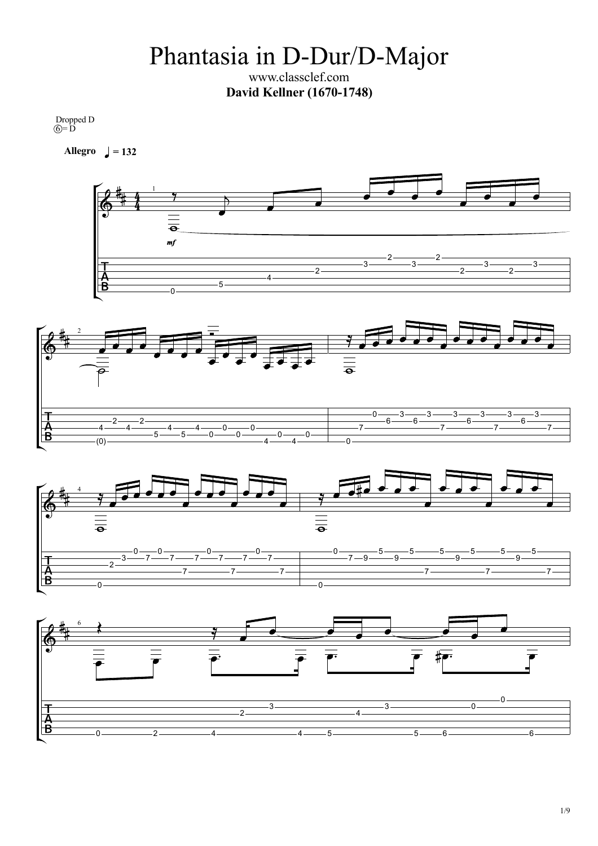Phantasia in D-Dur/D-Major

www.classclef.com **David Kellner(1670-1748)**

Dropped D  $\widehat{O} = \overline{D}$ 

Allegro  $= 132$ 







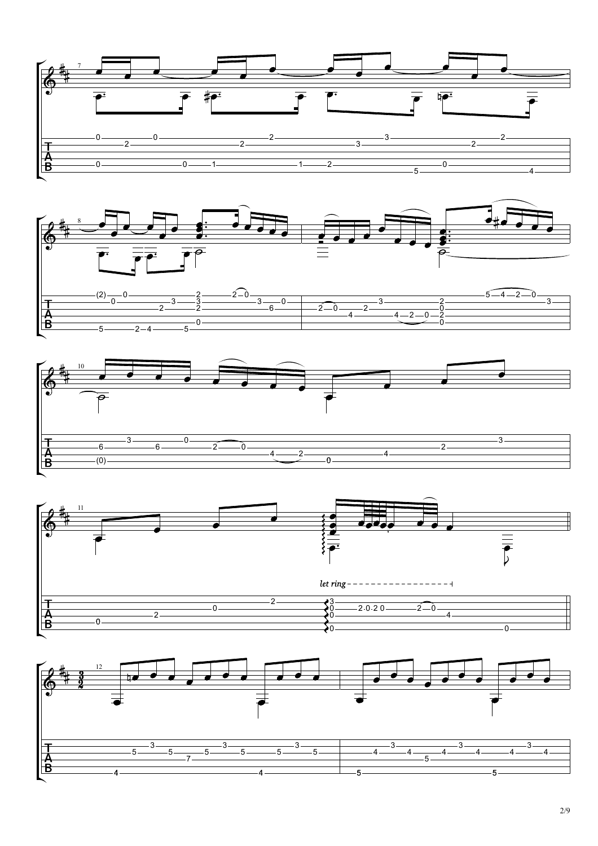







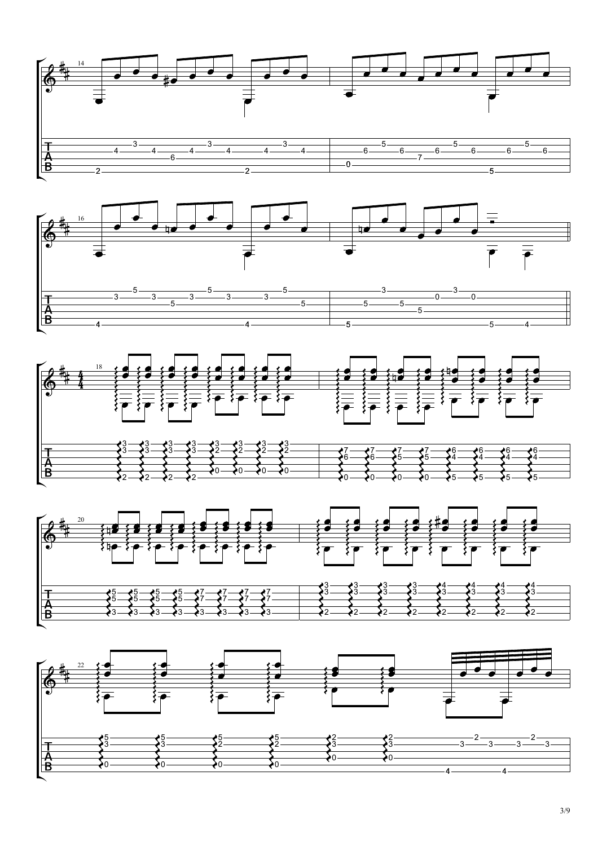







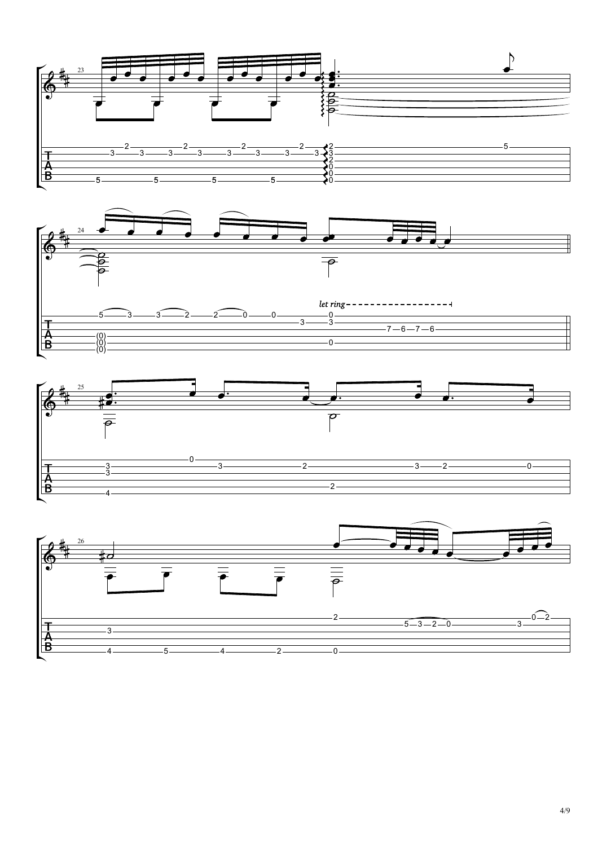





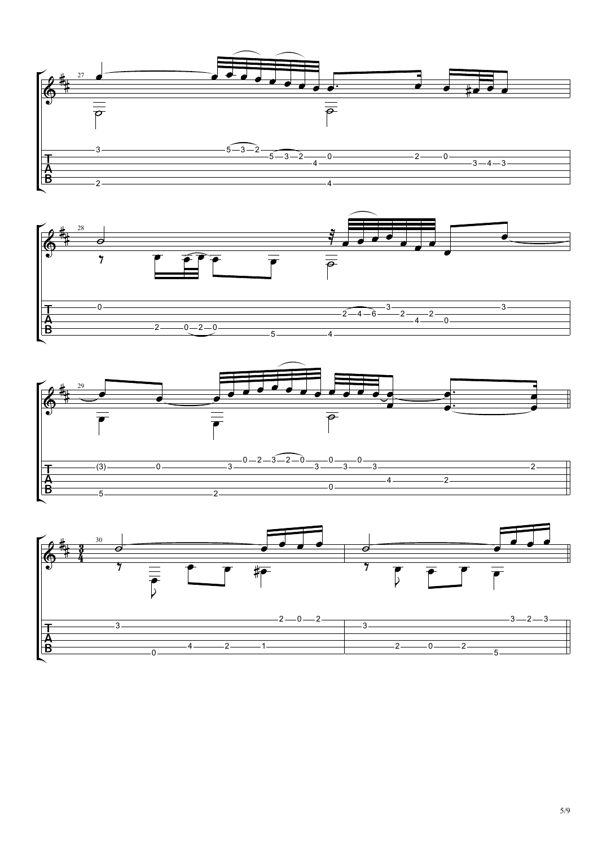





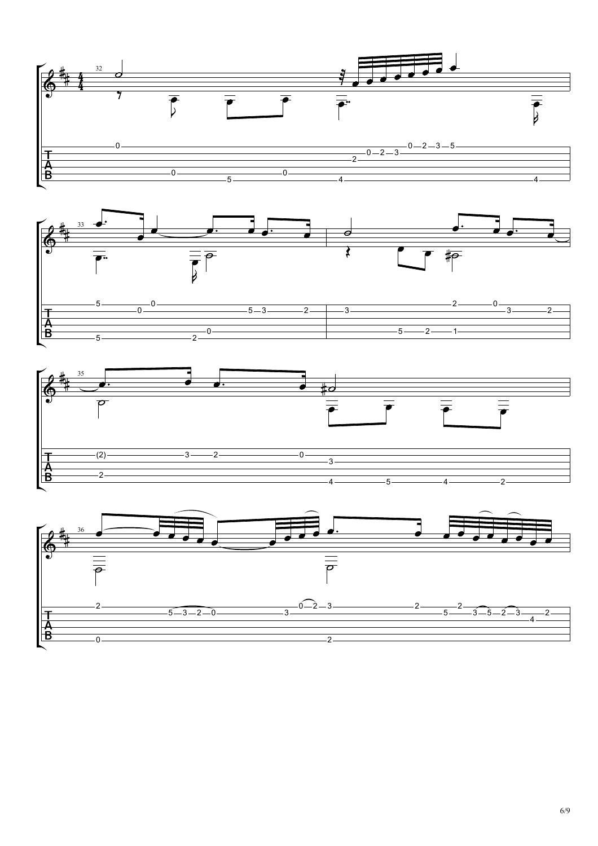





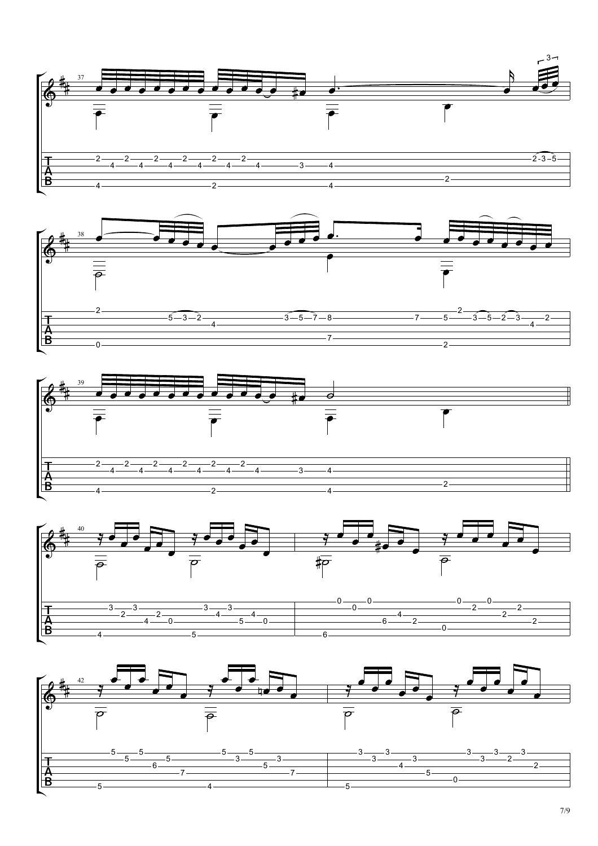







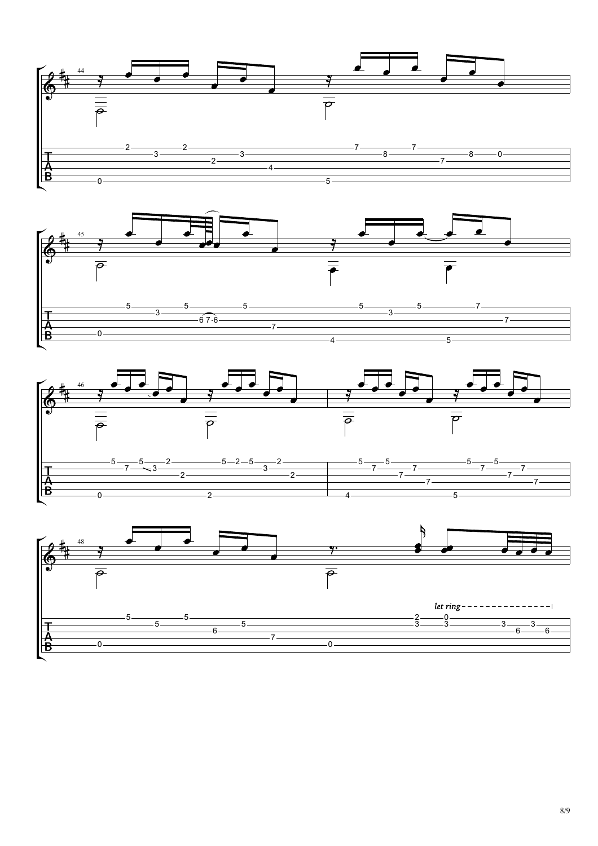